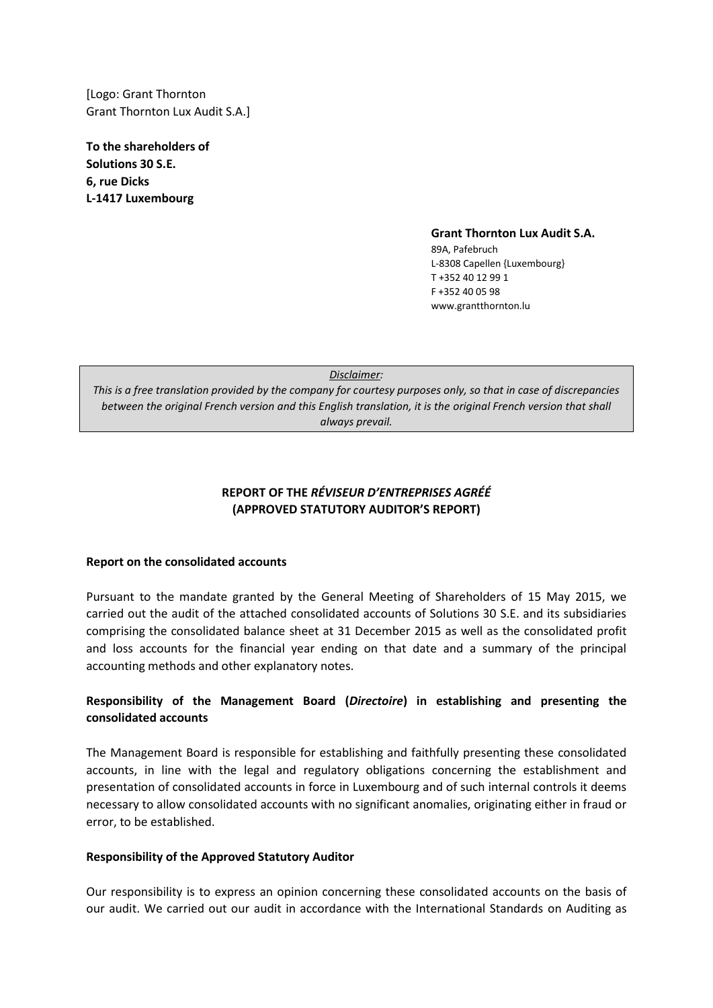[Logo: Grant Thornton Grant Thornton Lux Audit S.A.]

**To the shareholders of Solutions 30 S.E. 6, rue Dicks L-1417 Luxembourg**

**Grant Thornton Lux Audit S.A.**

89A, Pafebruch L-8308 Capellen {Luxembourg} T +352 40 12 99 1 F +352 40 05 98 www.grantthornton.lu

| Disclaimer:                                                                                                     |
|-----------------------------------------------------------------------------------------------------------------|
| This is a free translation provided by the company for courtesy purposes only, so that in case of discrepancies |
| between the original French version and this English translation, it is the original French version that shall  |
| always prevail.                                                                                                 |

# **REPORT OF THE** *RÉVISEUR D'ENTREPRISES AGRÉÉ* **(APPROVED STATUTORY AUDITOR'S REPORT)**

### **Report on the consolidated accounts**

Pursuant to the mandate granted by the General Meeting of Shareholders of 15 May 2015, we carried out the audit of the attached consolidated accounts of Solutions 30 S.E. and its subsidiaries comprising the consolidated balance sheet at 31 December 2015 as well as the consolidated profit and loss accounts for the financial year ending on that date and a summary of the principal accounting methods and other explanatory notes.

## **Responsibility of the Management Board (***Directoire***) in establishing and presenting the consolidated accounts**

The Management Board is responsible for establishing and faithfully presenting these consolidated accounts, in line with the legal and regulatory obligations concerning the establishment and presentation of consolidated accounts in force in Luxembourg and of such internal controls it deems necessary to allow consolidated accounts with no significant anomalies, originating either in fraud or error, to be established.

#### **Responsibility of the Approved Statutory Auditor**

Our responsibility is to express an opinion concerning these consolidated accounts on the basis of our audit. We carried out our audit in accordance with the International Standards on Auditing as